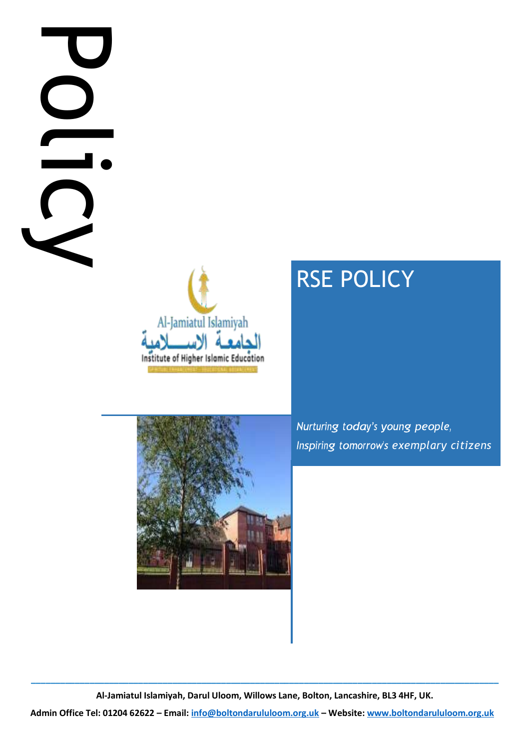

# RSE POLICY

*Inspiring tomorrow's exemplary citizens* 



**Al-Jamiatul Islamiyah, Darul Uloom, Willows Lane, Bolton, Lancashire, BL3 4HF, UK.**

**\_\_\_\_\_\_\_\_\_\_\_\_\_\_\_\_\_\_\_\_\_\_\_\_\_\_\_\_\_\_\_\_\_\_\_\_\_\_\_\_\_\_\_\_\_\_\_\_\_\_\_\_\_\_\_\_\_\_\_\_\_\_\_\_\_\_\_\_\_\_\_\_\_\_\_\_\_\_\_\_\_\_\_\_\_\_\_\_\_\_\_\_\_\_\_\_**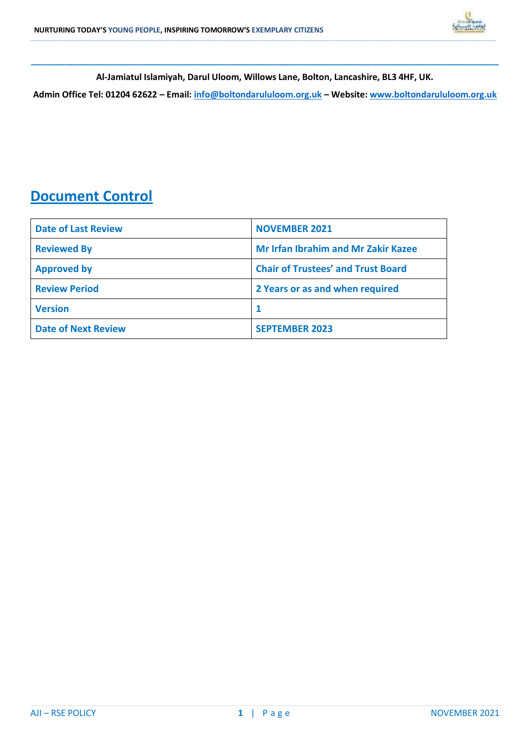

**\_\_\_\_\_\_\_\_\_\_\_\_\_\_\_\_\_\_\_\_\_\_\_\_\_\_\_\_\_\_\_\_\_\_\_\_\_\_\_\_\_\_\_\_\_\_\_\_\_\_\_\_\_\_\_\_\_\_\_\_\_\_\_\_\_\_\_\_\_\_\_\_\_\_\_\_\_\_\_\_\_\_\_\_\_\_\_\_\_\_\_\_\_\_\_\_ Al-Jamiatul Islamiyah, Darul Uloom, Willows Lane, Bolton, Lancashire, BL3 4HF, UK.**

**\_\_\_\_\_\_\_\_\_\_\_\_\_\_\_\_\_\_\_\_\_\_\_\_\_\_\_\_\_\_\_\_\_\_\_\_\_\_\_\_\_\_\_\_\_\_\_\_\_\_\_\_\_\_\_\_\_\_\_\_\_\_\_\_\_\_\_\_\_\_\_\_\_\_\_\_\_\_\_\_\_\_\_\_\_\_\_\_\_\_\_\_\_\_\_\_\_\_\_\_\_\_\_\_\_\_\_\_\_\_\_\_\_\_\_\_\_\_\_\_\_\_\_\_\_\_\_\_\_\_\_\_\_\_\_\_\_\_\_\_\_\_\_\_\_\_\_\_\_\_\_\_\_\_\_\_\_\_\_\_\_\_\_\_\_\_\_\_\_\_\_\_\_\_\_\_\_\_\_\_\_\_\_\_\_\_\_\_\_\_\_\_\_\_\_\_\_\_\_\_\_\_\_\_\_\_\_\_\_\_\_\_\_\_\_\_\_\_\_\_\_\_\_\_\_\_\_\_\_\_\_\_\_\_\_\_\_\_\_\_\_\_\_\_\_\_\_\_\_\_\_\_\_\_\_\_\_\_\_\_\_\_\_\_\_\_\_\_\_\_\_\_\_\_\_\_\_\_\_\_\_\_\_\_\_\_\_\_\_\_\_\_\_\_\_\_\_\_\_\_\_\_\_\_\_\_\_\_\_\_\_\_\_\_\_\_\_\_\_\_\_\_\_\_\_\_\_\_\_\_\_\_\_\_\_\_\_\_\_\_\_\_\_\_\_\_\_\_\_\_**

**Admin Office Tel: 01204 62622 – Email: [info@boltondarululoom.org.uk](mailto:info@boltondarululoom.org.uk) – Website[: www.boltondarululoom.org.uk](http://www.boltondarululoom.org.uk/)** 

## **Document Control**

| <b>Date of Last Review</b> | <b>NOVEMBER 2021</b>                       |  |
|----------------------------|--------------------------------------------|--|
| <b>Reviewed By</b>         | <b>Mr Irfan Ibrahim and Mr Zakir Kazee</b> |  |
| <b>Approved by</b>         | <b>Chair of Trustees' and Trust Board</b>  |  |
| <b>Review Period</b>       | 2 Years or as and when required            |  |
| <b>Version</b>             |                                            |  |
| <b>Date of Next Review</b> | <b>SEPTEMBER 2023</b>                      |  |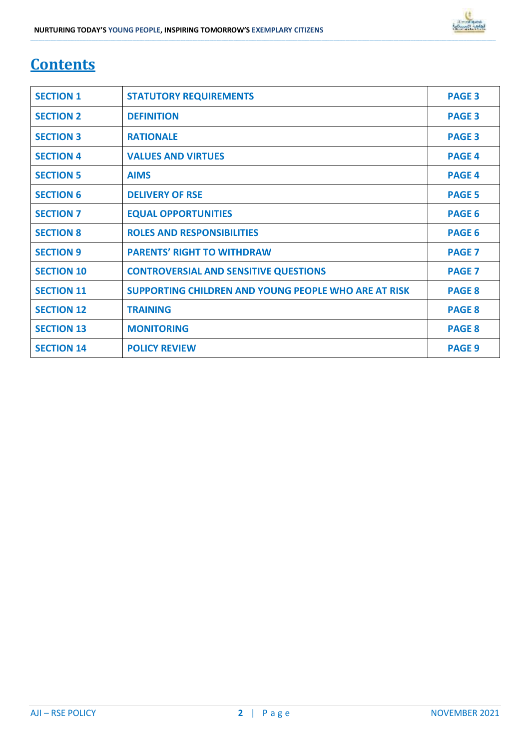# **Contents**

| <b>SECTION 1</b>  | <b>STATUTORY REQUIREMENTS</b>                        | <b>PAGE 3</b> |
|-------------------|------------------------------------------------------|---------------|
| <b>SECTION 2</b>  | <b>DEFINITION</b>                                    | <b>PAGE 3</b> |
| <b>SECTION 3</b>  | <b>RATIONALE</b>                                     | <b>PAGE 3</b> |
| <b>SECTION 4</b>  | <b>VALUES AND VIRTUES</b>                            | <b>PAGE 4</b> |
| <b>SECTION 5</b>  | <b>AIMS</b>                                          | <b>PAGE 4</b> |
| <b>SECTION 6</b>  | <b>DELIVERY OF RSE</b>                               | <b>PAGE 5</b> |
| <b>SECTION 7</b>  | <b>EQUAL OPPORTUNITIES</b>                           | <b>PAGE 6</b> |
| <b>SECTION 8</b>  | <b>ROLES AND RESPONSIBILITIES</b>                    | <b>PAGE 6</b> |
| <b>SECTION 9</b>  | <b>PARENTS' RIGHT TO WITHDRAW</b>                    | <b>PAGE 7</b> |
| <b>SECTION 10</b> | <b>CONTROVERSIAL AND SENSITIVE QUESTIONS</b>         | <b>PAGE 7</b> |
| <b>SECTION 11</b> | SUPPORTING CHILDREN AND YOUNG PEOPLE WHO ARE AT RISK | <b>PAGE 8</b> |
| <b>SECTION 12</b> | <b>TRAINING</b>                                      | <b>PAGE 8</b> |
| <b>SECTION 13</b> | <b>MONITORING</b>                                    | <b>PAGE 8</b> |
| <b>SECTION 14</b> | <b>POLICY REVIEW</b>                                 | <b>PAGE 9</b> |

**\_\_\_\_\_\_\_\_\_\_\_\_\_\_\_\_\_\_\_\_\_\_\_\_\_\_\_\_\_\_\_\_\_\_\_\_\_\_\_\_\_\_\_\_\_\_\_\_\_\_\_\_\_\_\_\_\_\_\_\_\_\_\_\_\_\_\_\_\_\_\_\_\_\_\_\_\_\_\_\_\_\_\_\_\_\_\_\_\_\_\_\_\_\_\_\_\_\_\_\_\_\_\_\_\_\_\_\_\_\_\_\_\_\_\_\_\_\_\_\_\_\_\_\_\_\_\_\_\_\_\_\_\_\_\_\_\_\_\_\_\_\_\_\_\_\_\_\_\_\_\_\_\_\_\_\_\_\_\_\_\_\_\_\_\_\_\_\_\_\_\_\_\_\_\_\_\_\_\_\_\_\_\_\_\_\_\_\_\_\_\_\_\_\_\_\_\_\_\_\_\_\_\_\_\_\_\_\_\_\_\_\_\_\_\_\_\_\_\_\_\_\_\_\_\_\_\_\_\_\_\_\_\_\_\_\_\_\_\_\_\_\_\_\_\_\_\_\_\_\_\_\_\_\_\_\_\_\_\_\_\_\_\_\_\_\_\_\_\_\_\_\_\_\_\_\_\_\_\_\_\_\_\_\_\_\_\_\_\_\_\_\_\_\_\_\_\_\_\_\_\_\_\_\_\_\_\_\_\_\_\_\_\_\_\_\_\_\_\_\_\_\_\_\_\_\_\_\_\_\_\_\_\_\_\_\_\_\_\_\_\_\_\_\_\_\_\_\_\_\_**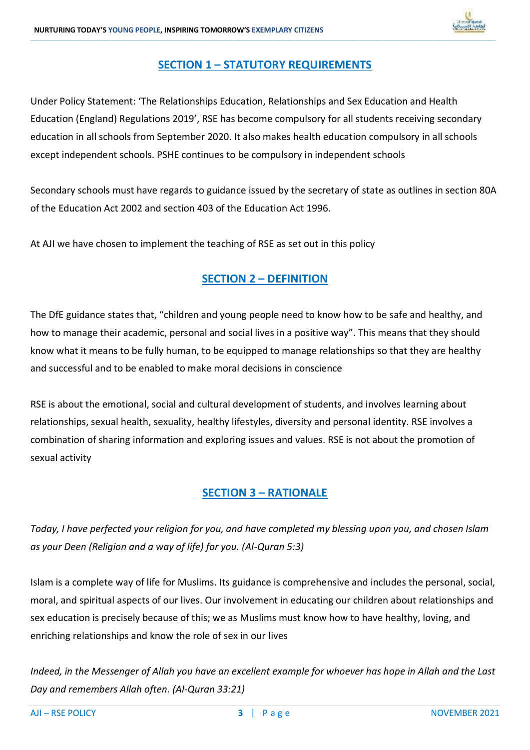

### **SECTION 1 – STATUTORY REQUIREMENTS**

**\_\_\_\_\_\_\_\_\_\_\_\_\_\_\_\_\_\_\_\_\_\_\_\_\_\_\_\_\_\_\_\_\_\_\_\_\_\_\_\_\_\_\_\_\_\_\_\_\_\_\_\_\_\_\_\_\_\_\_\_\_\_\_\_\_\_\_\_\_\_\_\_\_\_\_\_\_\_\_\_\_\_\_\_\_\_\_\_\_\_\_\_\_\_\_\_\_\_\_\_\_\_\_\_\_\_\_\_\_\_\_\_\_\_\_\_\_\_\_\_\_\_\_\_\_\_\_\_\_\_\_\_\_\_\_\_\_\_\_\_\_\_\_\_\_\_\_\_\_\_\_\_\_\_\_\_\_\_\_\_\_\_\_\_\_\_\_\_\_\_\_\_\_\_\_\_\_\_\_\_\_\_\_\_\_\_\_\_\_\_\_\_\_\_\_\_\_\_\_\_\_\_\_\_\_\_\_\_\_\_\_\_\_\_\_\_\_\_\_\_\_\_\_\_\_\_\_\_\_\_\_\_\_\_\_\_\_\_\_\_\_\_\_\_\_\_\_\_\_\_\_\_\_\_\_\_\_\_\_\_\_\_\_\_\_\_\_\_\_\_\_\_\_\_\_\_\_\_\_\_\_\_\_\_\_\_\_\_\_\_\_\_\_\_\_\_\_\_\_\_\_\_\_\_\_\_\_\_\_\_\_\_\_\_\_\_\_\_\_\_\_\_\_\_\_\_\_\_\_\_\_\_\_\_\_\_\_\_\_\_\_\_\_\_\_\_\_\_\_\_**

Under Policy Statement: 'The Relationships Education, Relationships and Sex Education and Health Education (England) Regulations 2019', RSE has become compulsory for all students receiving secondary education in all schools from September 2020. It also makes health education compulsory in all schools except independent schools. PSHE continues to be compulsory in independent schools

Secondary schools must have regards to guidance issued by the secretary of state as outlines in section 80A of the Education Act 2002 and section 403 of the Education Act 1996.

At AJI we have chosen to implement the teaching of RSE as set out in this policy

### **SECTION 2 – DEFINITION**

The DfE guidance states that, "children and young people need to know how to be safe and healthy, and how to manage their academic, personal and social lives in a positive way". This means that they should know what it means to be fully human, to be equipped to manage relationships so that they are healthy and successful and to be enabled to make moral decisions in conscience

RSE is about the emotional, social and cultural development of students, and involves learning about relationships, sexual health, sexuality, healthy lifestyles, diversity and personal identity. RSE involves a combination of sharing information and exploring issues and values. RSE is not about the promotion of sexual activity

#### **SECTION 3 – RATIONALE**

*Today, I have perfected your religion for you, and have completed my blessing upon you, and chosen Islam as your Deen (Religion and a way of life) for you. (Al-Quran 5:3)*

Islam is a complete way of life for Muslims. Its guidance is comprehensive and includes the personal, social, moral, and spiritual aspects of our lives. Our involvement in educating our children about relationships and sex education is precisely because of this; we as Muslims must know how to have healthy, loving, and enriching relationships and know the role of sex in our lives

*Indeed, in the Messenger of Allah you have an excellent example for whoever has hope in Allah and the Last Day and remembers Allah often. (Al-Quran 33:21)*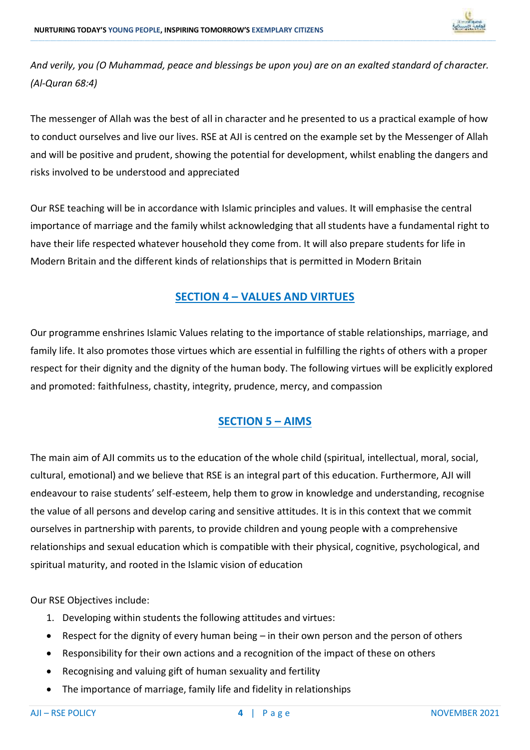

*And verily, you (O Muhammad, peace and blessings be upon you) are on an exalted standard of character. (Al-Quran 68:4)*

**\_\_\_\_\_\_\_\_\_\_\_\_\_\_\_\_\_\_\_\_\_\_\_\_\_\_\_\_\_\_\_\_\_\_\_\_\_\_\_\_\_\_\_\_\_\_\_\_\_\_\_\_\_\_\_\_\_\_\_\_\_\_\_\_\_\_\_\_\_\_\_\_\_\_\_\_\_\_\_\_\_\_\_\_\_\_\_\_\_\_\_\_\_\_\_\_\_\_\_\_\_\_\_\_\_\_\_\_\_\_\_\_\_\_\_\_\_\_\_\_\_\_\_\_\_\_\_\_\_\_\_\_\_\_\_\_\_\_\_\_\_\_\_\_\_\_\_\_\_\_\_\_\_\_\_\_\_\_\_\_\_\_\_\_\_\_\_\_\_\_\_\_\_\_\_\_\_\_\_\_\_\_\_\_\_\_\_\_\_\_\_\_\_\_\_\_\_\_\_\_\_\_\_\_\_\_\_\_\_\_\_\_\_\_\_\_\_\_\_\_\_\_\_\_\_\_\_\_\_\_\_\_\_\_\_\_\_\_\_\_\_\_\_\_\_\_\_\_\_\_\_\_\_\_\_\_\_\_\_\_\_\_\_\_\_\_\_\_\_\_\_\_\_\_\_\_\_\_\_\_\_\_\_\_\_\_\_\_\_\_\_\_\_\_\_\_\_\_\_\_\_\_\_\_\_\_\_\_\_\_\_\_\_\_\_\_\_\_\_\_\_\_\_\_\_\_\_\_\_\_\_\_\_\_\_\_\_\_\_\_\_\_\_\_\_\_\_\_\_\_**

The messenger of Allah was the best of all in character and he presented to us a practical example of how to conduct ourselves and live our lives. RSE at AJI is centred on the example set by the Messenger of Allah and will be positive and prudent, showing the potential for development, whilst enabling the dangers and risks involved to be understood and appreciated

Our RSE teaching will be in accordance with Islamic principles and values. It will emphasise the central importance of marriage and the family whilst acknowledging that all students have a fundamental right to have their life respected whatever household they come from. It will also prepare students for life in Modern Britain and the different kinds of relationships that is permitted in Modern Britain

#### **SECTION 4 – VALUES AND VIRTUES**

Our programme enshrines Islamic Values relating to the importance of stable relationships, marriage, and family life. It also promotes those virtues which are essential in fulfilling the rights of others with a proper respect for their dignity and the dignity of the human body. The following virtues will be explicitly explored and promoted: faithfulness, chastity, integrity, prudence, mercy, and compassion

### **SECTION 5 – AIMS**

The main aim of AJI commits us to the education of the whole child (spiritual, intellectual, moral, social, cultural, emotional) and we believe that RSE is an integral part of this education. Furthermore, AJI will endeavour to raise students' self-esteem, help them to grow in knowledge and understanding, recognise the value of all persons and develop caring and sensitive attitudes. It is in this context that we commit ourselves in partnership with parents, to provide children and young people with a comprehensive relationships and sexual education which is compatible with their physical, cognitive, psychological, and spiritual maturity, and rooted in the Islamic vision of education

Our RSE Objectives include:

- 1. Developing within students the following attitudes and virtues:
- Respect for the dignity of every human being in their own person and the person of others
- Responsibility for their own actions and a recognition of the impact of these on others
- Recognising and valuing gift of human sexuality and fertility
- The importance of marriage, family life and fidelity in relationships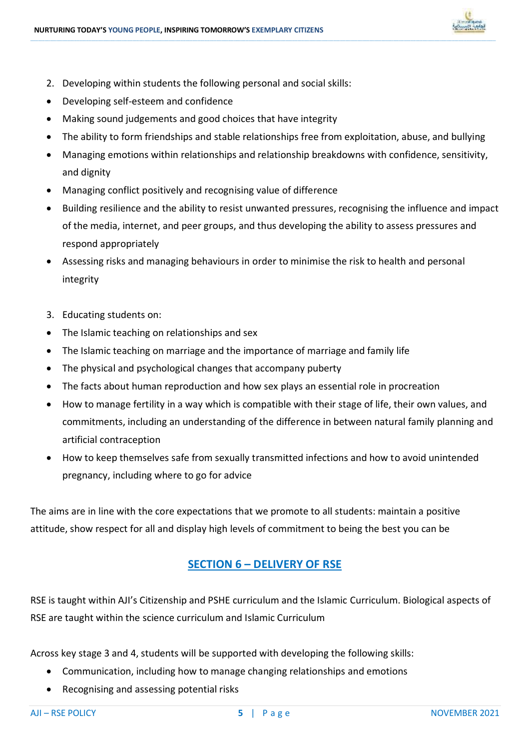

- 2. Developing within students the following personal and social skills:
- Developing self-esteem and confidence
- Making sound judgements and good choices that have integrity
- The ability to form friendships and stable relationships free from exploitation, abuse, and bullying

**\_\_\_\_\_\_\_\_\_\_\_\_\_\_\_\_\_\_\_\_\_\_\_\_\_\_\_\_\_\_\_\_\_\_\_\_\_\_\_\_\_\_\_\_\_\_\_\_\_\_\_\_\_\_\_\_\_\_\_\_\_\_\_\_\_\_\_\_\_\_\_\_\_\_\_\_\_\_\_\_\_\_\_\_\_\_\_\_\_\_\_\_\_\_\_\_\_\_\_\_\_\_\_\_\_\_\_\_\_\_\_\_\_\_\_\_\_\_\_\_\_\_\_\_\_\_\_\_\_\_\_\_\_\_\_\_\_\_\_\_\_\_\_\_\_\_\_\_\_\_\_\_\_\_\_\_\_\_\_\_\_\_\_\_\_\_\_\_\_\_\_\_\_\_\_\_\_\_\_\_\_\_\_\_\_\_\_\_\_\_\_\_\_\_\_\_\_\_\_\_\_\_\_\_\_\_\_\_\_\_\_\_\_\_\_\_\_\_\_\_\_\_\_\_\_\_\_\_\_\_\_\_\_\_\_\_\_\_\_\_\_\_\_\_\_\_\_\_\_\_\_\_\_\_\_\_\_\_\_\_\_\_\_\_\_\_\_\_\_\_\_\_\_\_\_\_\_\_\_\_\_\_\_\_\_\_\_\_\_\_\_\_\_\_\_\_\_\_\_\_\_\_\_\_\_\_\_\_\_\_\_\_\_\_\_\_\_\_\_\_\_\_\_\_\_\_\_\_\_\_\_\_\_\_\_\_\_\_\_\_\_\_\_\_\_\_\_\_\_\_**

- Managing emotions within relationships and relationship breakdowns with confidence, sensitivity, and dignity
- Managing conflict positively and recognising value of difference
- Building resilience and the ability to resist unwanted pressures, recognising the influence and impact of the media, internet, and peer groups, and thus developing the ability to assess pressures and respond appropriately
- Assessing risks and managing behaviours in order to minimise the risk to health and personal integrity
- 3. Educating students on:
- The Islamic teaching on relationships and sex
- The Islamic teaching on marriage and the importance of marriage and family life
- The physical and psychological changes that accompany puberty
- The facts about human reproduction and how sex plays an essential role in procreation
- How to manage fertility in a way which is compatible with their stage of life, their own values, and commitments, including an understanding of the difference in between natural family planning and artificial contraception
- How to keep themselves safe from sexually transmitted infections and how to avoid unintended pregnancy, including where to go for advice

The aims are in line with the core expectations that we promote to all students: maintain a positive attitude, show respect for all and display high levels of commitment to being the best you can be

#### **SECTION 6 – DELIVERY OF RSE**

RSE is taught within AJI's Citizenship and PSHE curriculum and the Islamic Curriculum. Biological aspects of RSE are taught within the science curriculum and Islamic Curriculum

Across key stage 3 and 4, students will be supported with developing the following skills:

- Communication, including how to manage changing relationships and emotions
- Recognising and assessing potential risks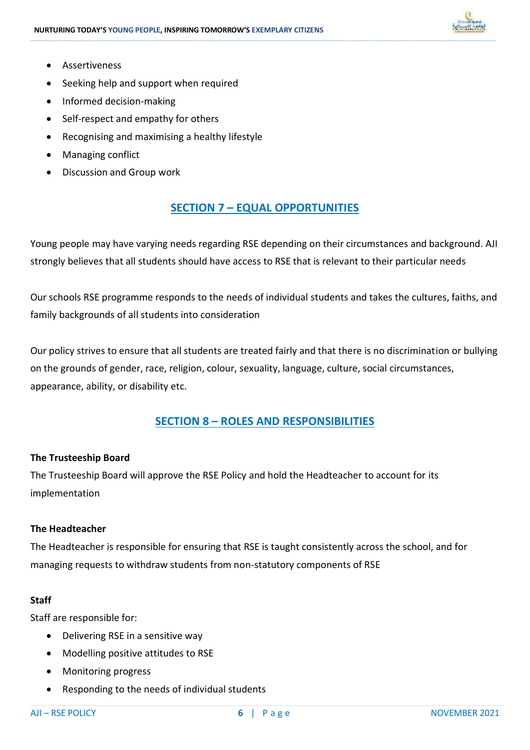

- Assertiveness
- Seeking help and support when required
- Informed decision-making
- Self-respect and empathy for others
- Recognising and maximising a healthy lifestyle
- Managing conflict
- Discussion and Group work

#### **SECTION 7 – EQUAL OPPORTUNITIES**

**\_\_\_\_\_\_\_\_\_\_\_\_\_\_\_\_\_\_\_\_\_\_\_\_\_\_\_\_\_\_\_\_\_\_\_\_\_\_\_\_\_\_\_\_\_\_\_\_\_\_\_\_\_\_\_\_\_\_\_\_\_\_\_\_\_\_\_\_\_\_\_\_\_\_\_\_\_\_\_\_\_\_\_\_\_\_\_\_\_\_\_\_\_\_\_\_\_\_\_\_\_\_\_\_\_\_\_\_\_\_\_\_\_\_\_\_\_\_\_\_\_\_\_\_\_\_\_\_\_\_\_\_\_\_\_\_\_\_\_\_\_\_\_\_\_\_\_\_\_\_\_\_\_\_\_\_\_\_\_\_\_\_\_\_\_\_\_\_\_\_\_\_\_\_\_\_\_\_\_\_\_\_\_\_\_\_\_\_\_\_\_\_\_\_\_\_\_\_\_\_\_\_\_\_\_\_\_\_\_\_\_\_\_\_\_\_\_\_\_\_\_\_\_\_\_\_\_\_\_\_\_\_\_\_\_\_\_\_\_\_\_\_\_\_\_\_\_\_\_\_\_\_\_\_\_\_\_\_\_\_\_\_\_\_\_\_\_\_\_\_\_\_\_\_\_\_\_\_\_\_\_\_\_\_\_\_\_\_\_\_\_\_\_\_\_\_\_\_\_\_\_\_\_\_\_\_\_\_\_\_\_\_\_\_\_\_\_\_\_\_\_\_\_\_\_\_\_\_\_\_\_\_\_\_\_\_\_\_\_\_\_\_\_\_\_\_\_\_\_\_**

Young people may have varying needs regarding RSE depending on their circumstances and background. AJI strongly believes that all students should have access to RSE that is relevant to their particular needs

Our schools RSE programme responds to the needs of individual students and takes the cultures, faiths, and family backgrounds of all students into consideration

Our policy strives to ensure that all students are treated fairly and that there is no discrimination or bullying on the grounds of gender, race, religion, colour, sexuality, language, culture, social circumstances, appearance, ability, or disability etc.

#### **SECTION 8 – ROLES AND RESPONSIBILITIES**

#### **The Trusteeship Board**

The Trusteeship Board will approve the RSE Policy and hold the Headteacher to account for its implementation

#### **The Headteacher**

The Headteacher is responsible for ensuring that RSE is taught consistently across the school, and for managing requests to withdraw students from non-statutory components of RSE

#### **Staff**

Staff are responsible for:

- Delivering RSE in a sensitive way
- Modelling positive attitudes to RSE
- Monitoring progress
- Responding to the needs of individual students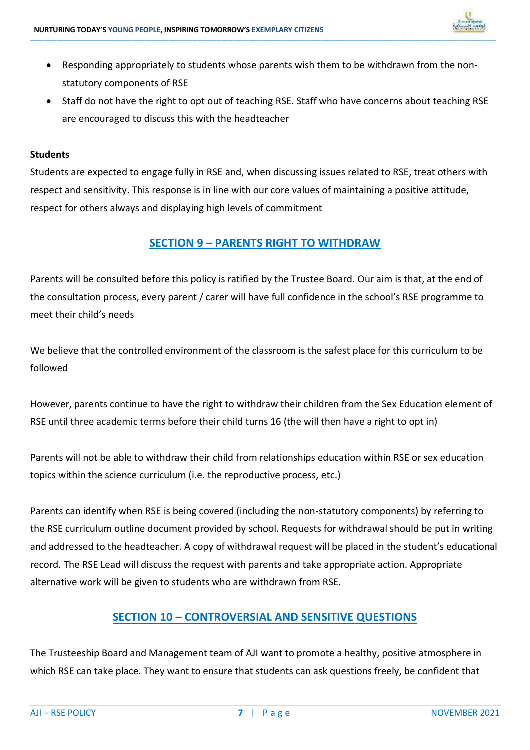

 Responding appropriately to students whose parents wish them to be withdrawn from the nonstatutory components of RSE

**\_\_\_\_\_\_\_\_\_\_\_\_\_\_\_\_\_\_\_\_\_\_\_\_\_\_\_\_\_\_\_\_\_\_\_\_\_\_\_\_\_\_\_\_\_\_\_\_\_\_\_\_\_\_\_\_\_\_\_\_\_\_\_\_\_\_\_\_\_\_\_\_\_\_\_\_\_\_\_\_\_\_\_\_\_\_\_\_\_\_\_\_\_\_\_\_\_\_\_\_\_\_\_\_\_\_\_\_\_\_\_\_\_\_\_\_\_\_\_\_\_\_\_\_\_\_\_\_\_\_\_\_\_\_\_\_\_\_\_\_\_\_\_\_\_\_\_\_\_\_\_\_\_\_\_\_\_\_\_\_\_\_\_\_\_\_\_\_\_\_\_\_\_\_\_\_\_\_\_\_\_\_\_\_\_\_\_\_\_\_\_\_\_\_\_\_\_\_\_\_\_\_\_\_\_\_\_\_\_\_\_\_\_\_\_\_\_\_\_\_\_\_\_\_\_\_\_\_\_\_\_\_\_\_\_\_\_\_\_\_\_\_\_\_\_\_\_\_\_\_\_\_\_\_\_\_\_\_\_\_\_\_\_\_\_\_\_\_\_\_\_\_\_\_\_\_\_\_\_\_\_\_\_\_\_\_\_\_\_\_\_\_\_\_\_\_\_\_\_\_\_\_\_\_\_\_\_\_\_\_\_\_\_\_\_\_\_\_\_\_\_\_\_\_\_\_\_\_\_\_\_\_\_\_\_\_\_\_\_\_\_\_\_\_\_\_\_\_\_\_**

 Staff do not have the right to opt out of teaching RSE. Staff who have concerns about teaching RSE are encouraged to discuss this with the headteacher

#### **Students**

Students are expected to engage fully in RSE and, when discussing issues related to RSE, treat others with respect and sensitivity. This response is in line with our core values of maintaining a positive attitude, respect for others always and displaying high levels of commitment

#### **SECTION 9 – PARENTS RIGHT TO WITHDRAW**

Parents will be consulted before this policy is ratified by the Trustee Board. Our aim is that, at the end of the consultation process, every parent / carer will have full confidence in the school's RSE programme to meet their child's needs

We believe that the controlled environment of the classroom is the safest place for this curriculum to be followed

However, parents continue to have the right to withdraw their children from the Sex Education element of RSE until three academic terms before their child turns 16 (the will then have a right to opt in)

Parents will not be able to withdraw their child from relationships education within RSE or sex education topics within the science curriculum (i.e. the reproductive process, etc.)

Parents can identify when RSE is being covered (including the non-statutory components) by referring to the RSE curriculum outline document provided by school. Requests for withdrawal should be put in writing and addressed to the headteacher. A copy of withdrawal request will be placed in the student's educational record. The RSE Lead will discuss the request with parents and take appropriate action. Appropriate alternative work will be given to students who are withdrawn from RSE.

#### **SECTION 10 – CONTROVERSIAL AND SENSITIVE QUESTIONS**

The Trusteeship Board and Management team of AJI want to promote a healthy, positive atmosphere in which RSE can take place. They want to ensure that students can ask questions freely, be confident that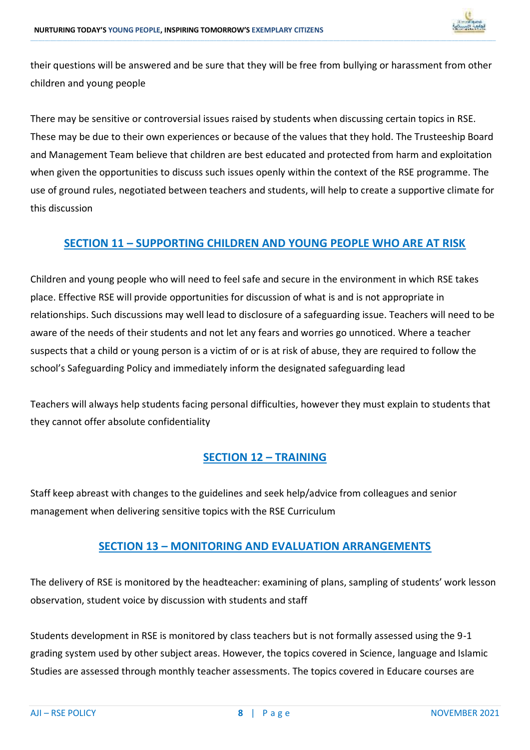

their questions will be answered and be sure that they will be free from bullying or harassment from other children and young people

**\_\_\_\_\_\_\_\_\_\_\_\_\_\_\_\_\_\_\_\_\_\_\_\_\_\_\_\_\_\_\_\_\_\_\_\_\_\_\_\_\_\_\_\_\_\_\_\_\_\_\_\_\_\_\_\_\_\_\_\_\_\_\_\_\_\_\_\_\_\_\_\_\_\_\_\_\_\_\_\_\_\_\_\_\_\_\_\_\_\_\_\_\_\_\_\_\_\_\_\_\_\_\_\_\_\_\_\_\_\_\_\_\_\_\_\_\_\_\_\_\_\_\_\_\_\_\_\_\_\_\_\_\_\_\_\_\_\_\_\_\_\_\_\_\_\_\_\_\_\_\_\_\_\_\_\_\_\_\_\_\_\_\_\_\_\_\_\_\_\_\_\_\_\_\_\_\_\_\_\_\_\_\_\_\_\_\_\_\_\_\_\_\_\_\_\_\_\_\_\_\_\_\_\_\_\_\_\_\_\_\_\_\_\_\_\_\_\_\_\_\_\_\_\_\_\_\_\_\_\_\_\_\_\_\_\_\_\_\_\_\_\_\_\_\_\_\_\_\_\_\_\_\_\_\_\_\_\_\_\_\_\_\_\_\_\_\_\_\_\_\_\_\_\_\_\_\_\_\_\_\_\_\_\_\_\_\_\_\_\_\_\_\_\_\_\_\_\_\_\_\_\_\_\_\_\_\_\_\_\_\_\_\_\_\_\_\_\_\_\_\_\_\_\_\_\_\_\_\_\_\_\_\_\_\_\_\_\_\_\_\_\_\_\_\_\_\_\_\_\_**

There may be sensitive or controversial issues raised by students when discussing certain topics in RSE. These may be due to their own experiences or because of the values that they hold. The Trusteeship Board and Management Team believe that children are best educated and protected from harm and exploitation when given the opportunities to discuss such issues openly within the context of the RSE programme. The use of ground rules, negotiated between teachers and students, will help to create a supportive climate for this discussion

#### **SECTION 11 – SUPPORTING CHILDREN AND YOUNG PEOPLE WHO ARE AT RISK**

Children and young people who will need to feel safe and secure in the environment in which RSE takes place. Effective RSE will provide opportunities for discussion of what is and is not appropriate in relationships. Such discussions may well lead to disclosure of a safeguarding issue. Teachers will need to be aware of the needs of their students and not let any fears and worries go unnoticed. Where a teacher suspects that a child or young person is a victim of or is at risk of abuse, they are required to follow the school's Safeguarding Policy and immediately inform the designated safeguarding lead

Teachers will always help students facing personal difficulties, however they must explain to students that they cannot offer absolute confidentiality

#### **SECTION 12 – TRAINING**

Staff keep abreast with changes to the guidelines and seek help/advice from colleagues and senior management when delivering sensitive topics with the RSE Curriculum

#### **SECTION 13 – MONITORING AND EVALUATION ARRANGEMENTS**

The delivery of RSE is monitored by the headteacher: examining of plans, sampling of students' work lesson observation, student voice by discussion with students and staff

Students development in RSE is monitored by class teachers but is not formally assessed using the 9-1 grading system used by other subject areas. However, the topics covered in Science, language and Islamic Studies are assessed through monthly teacher assessments. The topics covered in Educare courses are